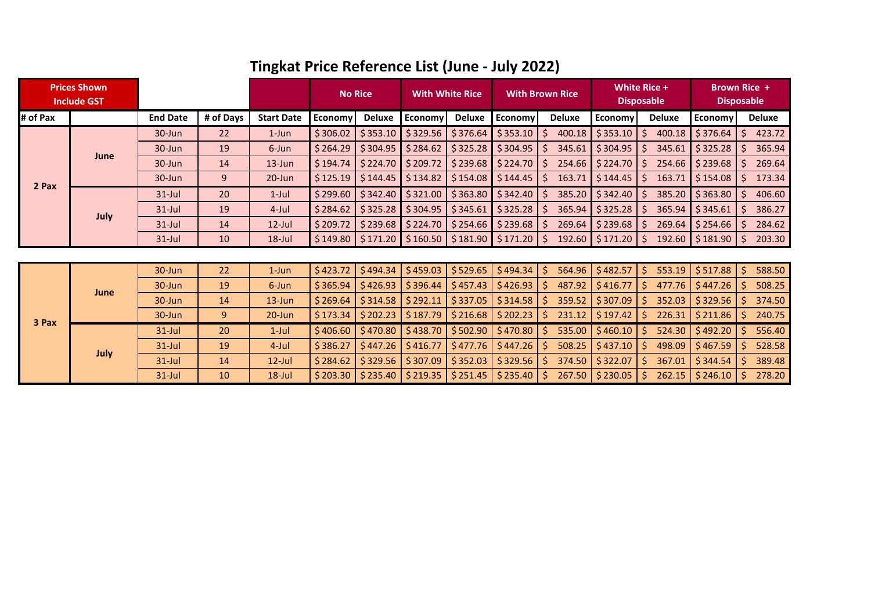| <b>Prices Shown</b><br><b>Include GST</b> |      |                 |           |                   | <b>No Rice</b> |                        | <b>With White Rice</b>        |               | <b>With Brown Rice</b> |                        | White Rice +<br><b>Disposable</b> |                        | <b>Brown Rice +</b><br><b>Disposable</b> |              |               |
|-------------------------------------------|------|-----------------|-----------|-------------------|----------------|------------------------|-------------------------------|---------------|------------------------|------------------------|-----------------------------------|------------------------|------------------------------------------|--------------|---------------|
| # of Pax                                  |      | <b>End Date</b> | # of Days | <b>Start Date</b> | Economy        | <b>Deluxe</b>          | Economy                       | <b>Deluxe</b> | Economy                | Deluxe                 | <b>Economy</b>                    | <b>Deluxe</b>          | <b>Economy</b>                           |              | <b>Deluxe</b> |
|                                           | June | 30-Jun          | 22        | $1$ -Jun          | \$306.02       | \$353.10               | \$329.56                      | \$376.64      | \$353.10               | \$                     | 400.18 \$353.10                   | Ŝ.<br>400.18           | \$376.64                                 | $\mathsf{S}$ | 423.72        |
|                                           |      | 30-Jun          | 19        | 6-Jun             | \$264.29       | \$304.95               | \$284.62                      | \$325.28      | \$304.95               | S.                     | $345.61$ \$304.95                 | Ŝ.<br>345.61           | \$325.28                                 | Ŝ.           | 365.94        |
|                                           |      | 30-Jun          | 14        | $13$ -Jun         | \$194.74       | \$224.70               | \$209.72                      | \$239.68      | \$224.70               | Ŝ.                     | 254.66 \$224.70                   | 254.66<br>-S           | \$239.68                                 | S.           | 269.64        |
|                                           |      | 30-Jun          | 9         | $20$ -Jun         | \$125.19       | \$144.45               | \$134.82                      | \$154.08      | \$144.45               | \$                     | $163.71$ \$144.45                 | 163.71<br><sub>S</sub> | \$154.08                                 | \$           | 173.34        |
| 2 Pax                                     | July | $31$ -Jul       | 20        | $1$ -Jul          | \$299.60       | \$342.40               | \$321.00                      | \$363.80      | \$342.40               | $\zeta$                | 385.20 \$342.40                   | Ŝ.<br>385.20           | \$363.80                                 | Ŝ.           | 406.60        |
|                                           |      | $31$ -Jul       | 19        | $4$ -Jul          | \$284.62       | \$325.28               | \$304.95                      | \$345.61      | \$325.28               | S.                     | $365.94$ \$325.28                 | 365.94<br>-S           | \$345.61                                 | S.           | 386.27        |
|                                           |      | $31$ -Jul       | 14        | $12$ -Jul         | \$209.72       | \$239.68               | \$224.70                      | \$254.66      | \$239.68               | Ŝ.                     | 269.64 \$239.68                   | 269.64<br><sup>S</sup> | \$254.66                                 | S.           | 284.62        |
|                                           |      | $31$ -Jul       | 10        | $18$ -Jul         | \$149.80       | $\frac{1}{2}$ \$171.20 | \$160.50                      | \$181.90      | $$171.20$ $$$          |                        | 192.60 \$171.20                   | <sup>S</sup><br>192.60 | \$181.90                                 | <sup>S</sup> | 203.30        |
|                                           |      |                 |           |                   |                |                        |                               |               |                        |                        |                                   |                        |                                          |              |               |
|                                           | June | 30-Jun          | 22        | $1$ -Jun          | \$423.72       | \$494.34               | \$459.03                      | \$529.65      | \$494.34               | $\mathsf{S}$<br>564.96 | \$482.57                          | \$.<br>553.19          | \$517.88                                 | $\mathsf{S}$ | 588.50        |
|                                           |      | 30-Jun          | 19        | 6-Jun             | \$365.94       | \$426.93               | \$396.44                      | \$457.43      | \$426.93               | Ŝ.<br>487.92           | \$416.77                          | <sup>5</sup><br>477.76 | \$447.26                                 | Ŝ.           | 508.25        |
|                                           |      | 30-Jun          | 14        | $13$ -Jun         | \$269.64       | \$314.58               | \$292.11                      | \$337.05      | \$314.58               | \$<br>359.52           | \$307.09                          | 352.03<br>Ŝ.           | \$329.56                                 | \$           | 374.50        |
| 3 Pax                                     |      | 30-Jun          | 9         | $20 - Jun$        | \$173.34       | \$202.23               | \$187.79                      | \$216.68      | \$202.23               | 231.12<br>S.           | \$197.42                          | 226.31<br>S            | \$211.86                                 | S.           | 240.75        |
|                                           | July | $31$ -Jul       | 20        | $1$ -Jul          | \$406.60       | \$470.80               | \$438.70                      | \$502.90      | \$470.80               | 535.00<br>\$.          | \$460.10                          | 524.30<br><sup>S</sup> | \$492.20                                 | Ŝ.           | 556.40        |
|                                           |      | $31$ -Jul       | 19        | $4$ -Jul          | \$386.27       | \$447.26               | \$416.77                      | \$477.76      | \$447.26               | \$.<br>508.25          | \$437.10                          | <sup>5</sup><br>498.09 | \$467.59                                 | Ŝ.           | 528.58        |
|                                           |      | $31$ -Jul       | 14        | $12$ -Jul         | \$284.62       | \$329.56               | \$307.09                      | \$352.03      | \$329.56               | \$.<br>374.50          | \$322.07                          | Ŝ.<br>367.01           | \$344.54                                 | Ś.           | 389.48        |
|                                           |      | $31$ -Jul       | 10        | $18$ -Jul         |                |                        | $$203.30$ $$235.40$ $$219.35$ | \$251.45      | $$235.40$ $$$          | 267.50                 | \$230.05                          | 262.15<br>-S           | \$246.10                                 | S            | 278.20        |

## **Tingkat Price Reference List (June - July 2022)**